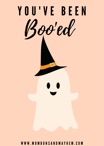

W W W . M O M B U N S A N D M A Y H E M . C O M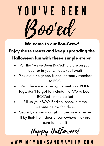Y O U ' V E B E E N Boo'ed

Welcome to our Boo-Crew!

# Enjoy these treats and keep spreading the

#### Halloween fun with these simple steps:

- Put the "We've Been Boo'ed" picture on your door or in your window (optional)
- Pick out a neighbor, friend, or family member to BOO
- Visit the website below to print your BOOtags, don't forget to include the "We've been BOO'ed" in the basket
- Fill up your BOO-Basket, check out the website below for ideas
- Secretly deliver your gift (make sure to leave it by their front door or somewhere they are sure to find it!)

Happy Halloween!

### W W W . M O M B U N S A N D M A Y H E M . C O M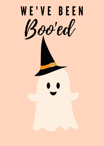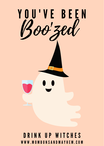

## D R I N K U P W I T C H E S W W W . M O M B U N S A N D M A Y H E M . C O M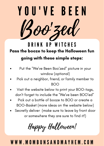

Pass the booze to keep the Halloween fun going with these simple steps: D R I N K U P W I T C H E S

- Put the "We've Been Boo'zed" picture in your window (optional)
- Pick out a neighbor, friend, or family member to BOO
- Visit the website below to print your BOO-tags, don't forget to include the "We've been BOO'ed"
- Pick out a bottle of booze to BOO or create a BOO-Basket (more ideas on the website below)
- Secretly deliver (make sure to leave by front door or somewhere they are sure to find it!)

Happy Halloween!

#### W W W . M O M B U N S A N D M A Y H E M . C O M